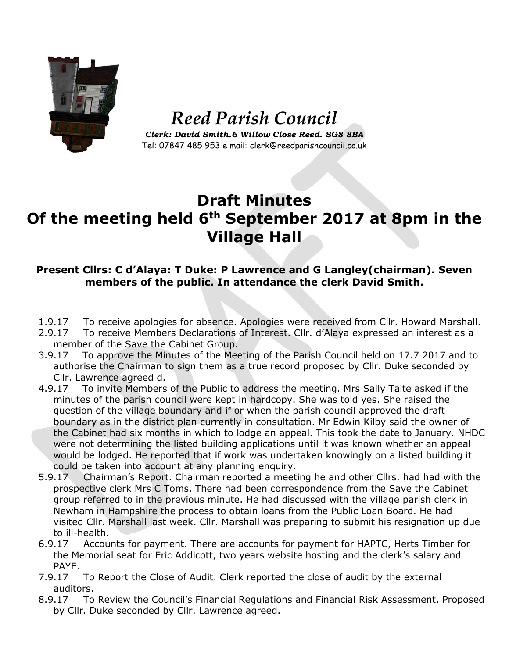

## *Reed Parish Council*

*Clerk: David Smith.6 Willow Close Reed. SG8 8BA* Tel: 07847 485 953 e mail: clerk@reedparishcouncil.co.uk

## **Draft Minutes Of the meeting held 6th September 2017 at 8pm in the Village Hall**

## **Present Cllrs: C d'Alaya: T Duke: P Lawrence and G Langley(chairman). Seven members of the public. In attendance the clerk David Smith.**

- 1.9.17 To receive apologies for absence. Apologies were received from Cllr. Howard Marshall.
- 2.9.17 To receive Members Declarations of Interest. Cllr. d'Alaya expressed an interest as a member of the Save the Cabinet Group.
- 3.9.17 To approve the Minutes of the Meeting of the Parish Council held on 17.7 2017 and to authorise the Chairman to sign them as a true record proposed by Cllr. Duke seconded by Cllr. Lawrence agreed d.
- 4.9.17 To invite Members of the Public to address the meeting. Mrs Sally Taite asked if the minutes of the parish council were kept in hardcopy. She was told yes. She raised the question of the village boundary and if or when the parish council approved the draft boundary as in the district plan currently in consultation. Mr Edwin Kilby said the owner of the Cabinet had six months in which to lodge an appeal. This took the date to January. NHDC were not determining the listed building applications until it was known whether an appeal would be lodged. He reported that if work was undertaken knowingly on a listed building it could be taken into account at any planning enquiry.
- 5.9.17 Chairman's Report. Chairman reported a meeting he and other Cllrs. had had with the prospective clerk Mrs C Toms. There had been correspondence from the Save the Cabinet group referred to in the previous minute. He had discussed with the village parish clerk in Newham in Hampshire the process to obtain loans from the Public Loan Board. He had visited Cllr. Marshall last week. Cllr. Marshall was preparing to submit his resignation up due to ill-health.
- 6.9.17 Accounts for payment. There are accounts for payment for HAPTC, Herts Timber for the Memorial seat for Eric Addicott, two years website hosting and the clerk's salary and PAYE.
- 7.9.17 To Report the Close of Audit. Clerk reported the close of audit by the external auditors.
- 8.9.17 To Review the Council's Financial Regulations and Financial Risk Assessment. Proposed by Cllr. Duke seconded by Cllr. Lawrence agreed.